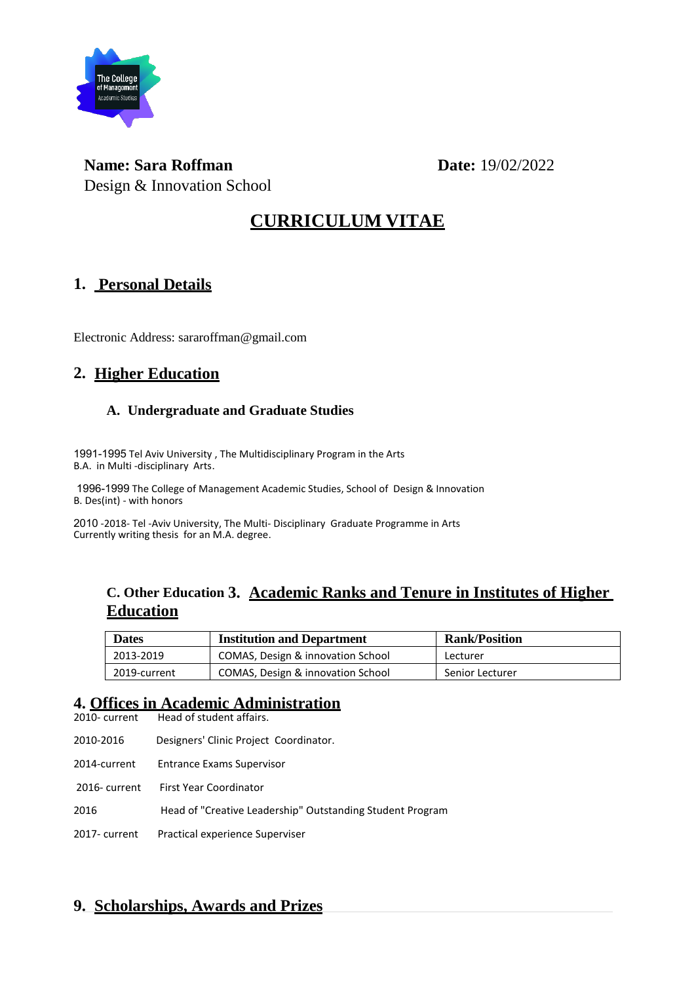

**Name:** Sara Roffman **Date:** 19/02/2022 Design & Innovation School

## **CURRICULUM VITAE**

#### **1. Personal Details**

Electronic Address: sararoffman@gmail.com

#### **2. Higher Education**

#### **A. Undergraduate and Graduate Studies**

1991-1995 Tel Aviv University , The Multidisciplinary Program in the Arts B.A. in Multi -disciplinary Arts.

1996-1999 The College of Management Academic Studies, School of Design & Innovation B. Des(int) - with honors

2010 -2018- Tel -Aviv University, The Multi- Disciplinary Graduate Programme in Arts Currently writing thesis for an M.A. degree.

#### **C. Other Education 3. Academic Ranks and Tenure in Institutes of Higher Education**

| <b>Dates</b> | <b>Institution and Department</b> | <b>Rank/Position</b> |  |
|--------------|-----------------------------------|----------------------|--|
| 2013-2019    | COMAS, Design & innovation School | Lecturer             |  |
| 2019-current | COMAS, Design & innovation School | Senior Lecturer      |  |

# **4. Offices in Academic Administration**

Head of student affairs.

2010-2016 Designers' Clinic Project Coordinator.

2014-current Entrance Exams Supervisor

2016- current First Year Coordinator

2016 Head of "Creative Leadership" Outstanding Student Program

2017- current Practical experience Superviser

#### **9. Scholarships, Awards and Prizes**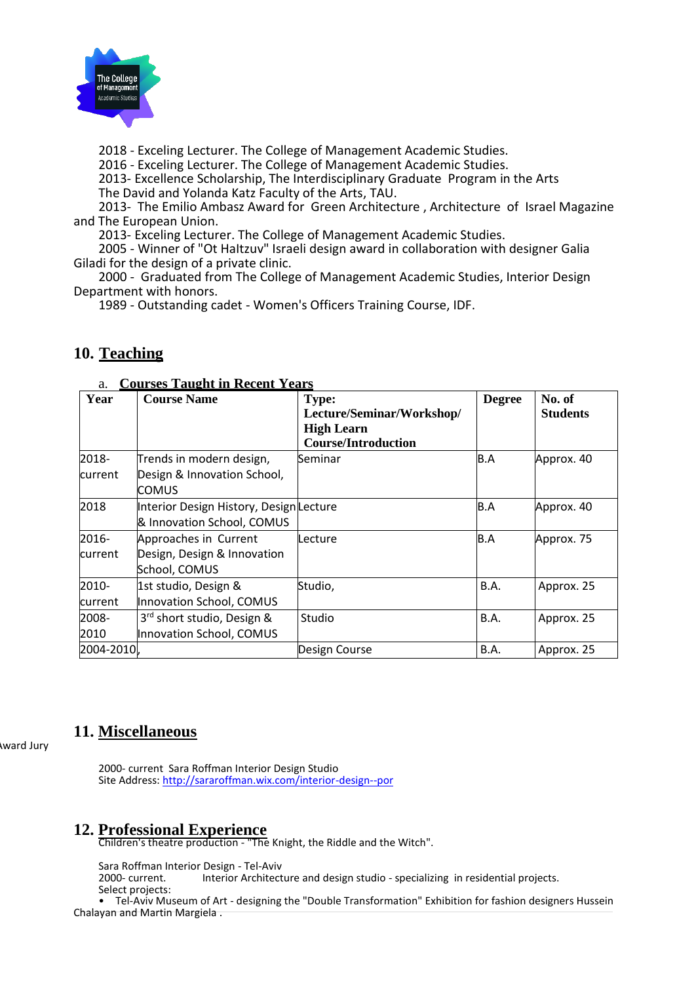

2018 - Exceling Lecturer. The College of Management Academic Studies.

2016 - Exceling Lecturer. The College of Management Academic Studies.

2013- Excellence Scholarship, The Interdisciplinary Graduate Program in the Arts The David and Yolanda Katz Faculty of the Arts, TAU.

2013- The Emilio Ambasz Award for Green Architecture , Architecture of Israel Magazine and The European Union.

2013- Exceling Lecturer. The College of Management Academic Studies.

2005 - Winner of "Ot HaItzuv" Israeli design award in collaboration with designer Galia Giladi for the design of a private clinic.

2000 - Graduated from The College of Management Academic Studies, Interior Design Department with honors.

1989 - Outstanding cadet - Women's Officers Training Course, IDF.

#### **10. Teaching**

| Year       | <b>Course Name</b>                                                    | <b>Type:</b><br>Lecture/Seminar/Workshop/<br><b>High Learn</b><br><b>Course/Introduction</b> | <b>Degree</b> | No. of<br><b>Students</b> |
|------------|-----------------------------------------------------------------------|----------------------------------------------------------------------------------------------|---------------|---------------------------|
| 2018-      | Trends in modern design,                                              | Seminar                                                                                      | B.A           | Approx. 40                |
| current    | Design & Innovation School,<br><b>COMUS</b>                           |                                                                                              |               |                           |
| 2018       | Interior Design History, Design Lecture<br>& Innovation School, COMUS |                                                                                              | B.A           | Approx. 40                |
| 2016-      | Approaches in Current                                                 | Lecture                                                                                      | B.A           | Approx. 75                |
| current    | Design, Design & Innovation<br>School, COMUS                          |                                                                                              |               |                           |
| 2010-      | 1st studio, Design &                                                  | Studio,                                                                                      | <b>B.A.</b>   | Approx. 25                |
| current    | Innovation School, COMUS                                              |                                                                                              |               |                           |
| 2008-      | 3rd short studio, Design &                                            | Studio                                                                                       | <b>B.A.</b>   | Approx. 25                |
| 2010       | Innovation School, COMUS                                              |                                                                                              |               |                           |
| 2004-2010, |                                                                       | Design Course                                                                                | <b>B.A.</b>   | Approx. 25                |

#### a. **Courses Taught in Recent Years**

#### **11. Miscellaneous**

ward Jury

2000- current Sara Roffman Interior Design Studio Site Address:<http://sararoffman.wix.com/interior-design--por>

#### **12. Professional Experience**

Children's theatre production - "The Knight, the Riddle and the Witch".

Sara Roffman Interior Design - Tel-Aviv

Interior Architecture and design studio - specializing in residential projects. Select projects:

• Tel-Aviv Museum of Art - designing the "Double Transformation" Exhibition for fashion designers Hussein Chalayan and Martin Margiela .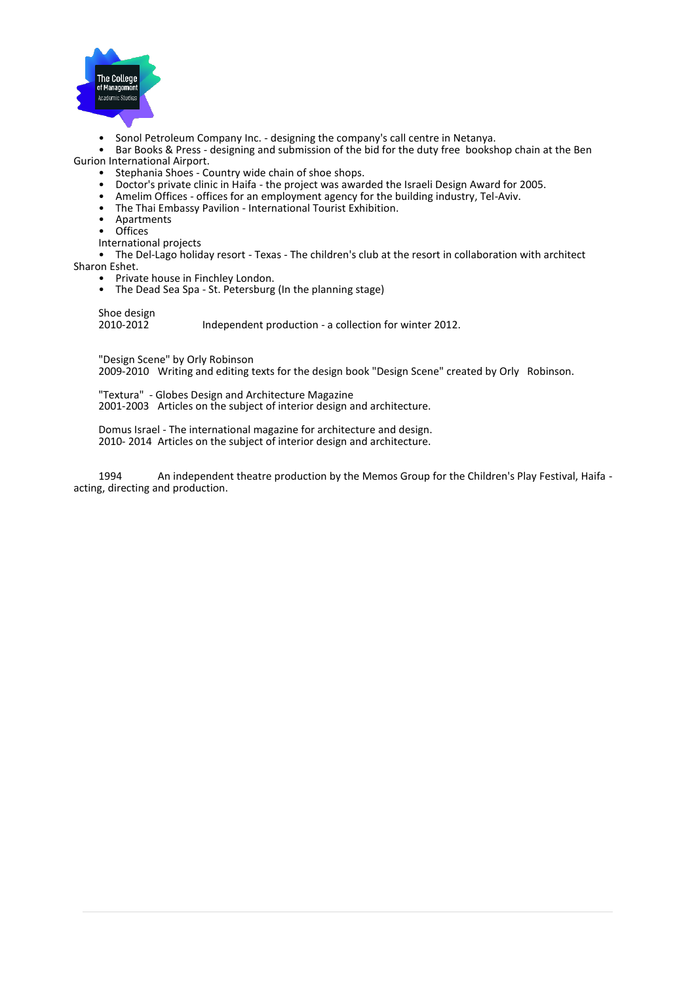

- Sonol Petroleum Company Inc. designing the company's call centre in Netanya.<br>• Bar Books & Press designing and submission of the hid for the duty free books
- Bar Books & Press designing and submission of the bid for the duty free bookshop chain at the Ben Gurion International Airport.
	- Stephania Shoes Country wide chain of shoe shops.<br>• Doctor's private clinic in Haifa the project was aware
	- Doctor's private clinic in Haifa the project was awarded the Israeli Design Award for 2005.
	- Amelim Offices offices for an employment agency for the building industry, Tel-Aviv.
	- The Thai Embassy Pavilion International Tourist Exhibition.
	- Apartments
	- Offices
	- International projects

• The Del-Lago holiday resort - Texas - The children's club at the resort in collaboration with architect Sharon Eshet.

- Private house in Finchley London.
- The Dead Sea Spa St. Petersburg (In the planning stage)

Shoe design<br>2010-2012 2010-2012 Independent production - a collection for winter 2012.

"Design Scene" by Orly Robinson

2009-2010 Writing and editing texts for the design book "Design Scene" created by Orly Robinson.

"Textura" - Globes Design and Architecture Magazine 2001-2003 Articles on the subject of interior design and architecture.

Domus Israel - The international magazine for architecture and design. 2010- 2014 Articles on the subject of interior design and architecture.

1994 An independent theatre production by the Memos Group for the Children's Play Festival, Haifa acting, directing and production.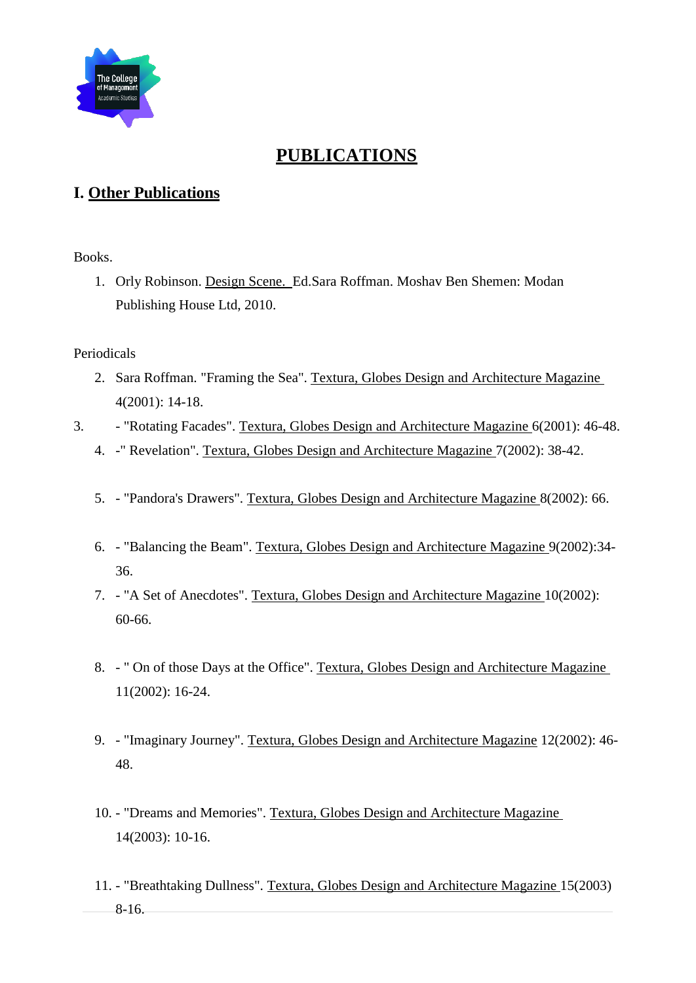

## **PUBLICATIONS**

### **I. Other Publications**

Books.

1. Orly Robinson. Design Scene. Ed.Sara Roffman. Moshav Ben Shemen: Modan Publishing House Ltd, 2010.

#### Periodicals

- 2. Sara Roffman. "Framing the Sea". Textura, Globes Design and Architecture Magazine 4(2001): 14-18.
- 3. "Rotating Facades". Textura, Globes Design and Architecture Magazine 6(2001): 46-48.
	- 4. -" Revelation". Textura, Globes Design and Architecture Magazine 7(2002): 38-42.
	- 5. "Pandora's Drawers". Textura, Globes Design and Architecture Magazine 8(2002): 66.
	- 6. "Balancing the Beam". Textura, Globes Design and Architecture Magazine 9(2002):34- 36.
	- 7. "A Set of Anecdotes". Textura, Globes Design and Architecture Magazine 10(2002): 60-66.
	- 8. " On of those Days at the Office". Textura, Globes Design and Architecture Magazine 11(2002): 16-24.
	- 9. "Imaginary Journey". Textura, Globes Design and Architecture Magazine 12(2002): 46- 48.
	- 10. "Dreams and Memories". Textura, Globes Design and Architecture Magazine 14(2003): 10-16.
	- 11. "Breathtaking Dullness". Textura, Globes Design and Architecture Magazine 15(2003) 8-16.